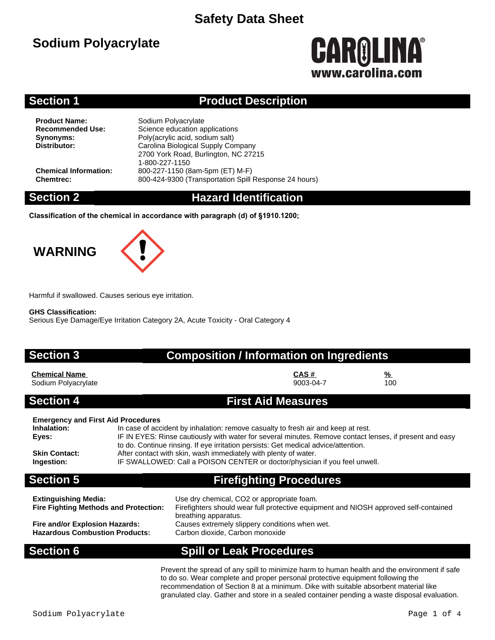## **Sodium Polyacrylate**

# **CAROLINA®** www.carolina.co

#### **Section 1 Product Description**

**Product Name:** Sodium Polyacrylate<br> **Recommended Use:** Science education are

**Science education applications Synonyms:** Poly(acrylic acid, sodium salt)<br> **Distributor:** Carolina Biological Supply Co **Distributor:** Carolina Biological Supply Company 2700 York Road, Burlington, NC 27215 1-800-227-1150 **Chemical Information:** 800-227-1150 (8am-5pm (ET) M-F) **Chemtrec:** 800-424-9300 (Transportation Spill Response 24 hours)

#### **Section 2 Hazard Identification**

**Classification of the chemical in accordance with paragraph (d) of §1910.1200;**

# **WARNING**



Harmful if swallowed. Causes serious eye irritation.

#### **GHS Classification:**

Serious Eye Damage/Eye Irritation Category 2A, Acute Toxicity - Oral Category 4

### **Section 3 Composition / Information on Ingredients**

**Chemical Name CAS # %** Sodium Polyacrylate

#### **Section 4 First Aid Measures**

#### **Emergency and First Aid Procedures**

| <b>Inhalation:</b>   | In case of accident by inhalation: remove casualty to fresh air and keep at rest.                       |
|----------------------|---------------------------------------------------------------------------------------------------------|
| Eves:                | IF IN EYES: Rinse cautiously with water for several minutes. Remove contact lenses, if present and easy |
|                      | to do. Continue rinsing. If eye irritation persists: Get medical advice/attention.                      |
| <b>Skin Contact:</b> | After contact with skin, wash immediately with plenty of water.                                         |
| Ingestion:           | IF SWALLOWED: Call a POISON CENTER or doctor/physician if you feel unwell.                              |
|                      |                                                                                                         |

### **Section 5 Firefighting Procedures**

| <b>Extinguishing Media:</b>                  | Use dry chemical, CO2 or appropriate foam.                                           |
|----------------------------------------------|--------------------------------------------------------------------------------------|
| <b>Fire Fighting Methods and Protection:</b> | Firefighters should wear full protective equipment and NIOSH approved self-contained |
|                                              | breathing apparatus.                                                                 |
| Fire and/or Explosion Hazards:               | Causes extremely slippery conditions when wet.                                       |
| <b>Hazardous Combustion Products:</b>        | Carbon dioxide, Carbon monoxide                                                      |
|                                              |                                                                                      |

### **Section 6 Spill or Leak Procedures**

Prevent the spread of any spill to minimize harm to human health and the environment if safe to do so. Wear complete and proper personal protective equipment following the recommendation of Section 8 at a minimum. Dike with suitable absorbent material like granulated clay. Gather and store in a sealed container pending a waste disposal evaluation.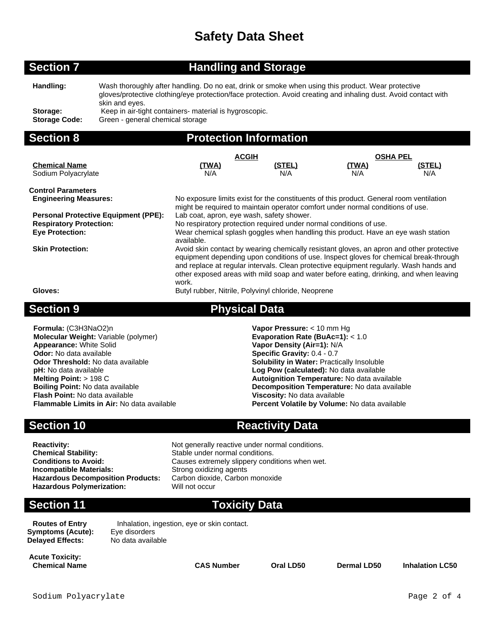gloves/protective clothing/eye protection/face protection. Avoid creating and inhaling dust. Avoid contact with

**Handling:** Wash thoroughly after handling. Do no eat, drink or smoke when using this product. Wear protective

**Section 7 Handling and Storage**

**Section 8 Protection Information**

**Storage:** Keep in air-tight containers- material is hygroscopic.

skin and eyes.

**Storage Code:** Green - general chemical storage

| JGULIUII U<br>F TULGULUT TITULITALIUT                                                          |                                                                                                                                                                                                                                                                                                                                                                                |                                                                                              |                 |        |  |
|------------------------------------------------------------------------------------------------|--------------------------------------------------------------------------------------------------------------------------------------------------------------------------------------------------------------------------------------------------------------------------------------------------------------------------------------------------------------------------------|----------------------------------------------------------------------------------------------|-----------------|--------|--|
|                                                                                                | <b>ACGIH</b>                                                                                                                                                                                                                                                                                                                                                                   |                                                                                              | <b>OSHA PEL</b> |        |  |
| <b>Chemical Name</b>                                                                           | <u>(TWA)</u>                                                                                                                                                                                                                                                                                                                                                                   | <u>(STEL)</u>                                                                                | <u>(TWA)</u>    | (STEL) |  |
| Sodium Polyacrylate                                                                            | N/A                                                                                                                                                                                                                                                                                                                                                                            | N/A                                                                                          | N/A             | N/A    |  |
| <b>Control Parameters</b>                                                                      |                                                                                                                                                                                                                                                                                                                                                                                |                                                                                              |                 |        |  |
| <b>Engineering Measures:</b>                                                                   | No exposure limits exist for the constituents of this product. General room ventilation<br>might be required to maintain operator comfort under normal conditions of use.                                                                                                                                                                                                      |                                                                                              |                 |        |  |
| <b>Personal Protective Equipment (PPE):</b>                                                    | Lab coat, apron, eye wash, safety shower.                                                                                                                                                                                                                                                                                                                                      |                                                                                              |                 |        |  |
| <b>Respiratory Protection:</b>                                                                 | No respiratory protection required under normal conditions of use.                                                                                                                                                                                                                                                                                                             |                                                                                              |                 |        |  |
| <b>Eye Protection:</b>                                                                         | Wear chemical splash goggles when handling this product. Have an eye wash station<br>available.                                                                                                                                                                                                                                                                                |                                                                                              |                 |        |  |
| <b>Skin Protection:</b>                                                                        | Avoid skin contact by wearing chemically resistant gloves, an apron and other protective<br>equipment depending upon conditions of use. Inspect gloves for chemical break-through<br>and replace at regular intervals. Clean protective equipment regularly. Wash hands and<br>other exposed areas with mild soap and water before eating, drinking, and when leaving<br>work. |                                                                                              |                 |        |  |
| Gloves:                                                                                        | Butyl rubber, Nitrile, Polyvinyl chloride, Neoprene                                                                                                                                                                                                                                                                                                                            |                                                                                              |                 |        |  |
| <b>Section 9</b>                                                                               | <b>Physical Data</b>                                                                                                                                                                                                                                                                                                                                                           |                                                                                              |                 |        |  |
| Formula: (C3H3NaO2)n<br>Molecular Weight: Variable (polymer)<br><b>Appearance: White Solid</b> |                                                                                                                                                                                                                                                                                                                                                                                | Vapor Pressure: < 10 mm Hq<br>Evaporation Rate (BuAc=1): < 1.0<br>Vapor Density (Air=1): N/A |                 |        |  |

**Odor:** No data available **Specific Gravity:** 0.4 - 0.7<br> **Odor Threshold:** No data available **Specific Gravity:** 0.4 - 0.7 **Odor Threshold:** No data available **Solubility in Water:** Practically Insoluble **pH:** No data available **pH:** No data available **pH:** No data available **Log Pow (calculated):** No data available **Melting Point:** > 198 C **Autoignition Temperature:** No data available **Boiling Point:** No data available **Decomposition Temperature:** No data available **Flash Point:** No data available **Flash Point:** No data available **Flash Point:** No data available **Viscosity: No data available Viscosity: No data available Flammable Limits in Air:** No data available **Flammable Limits in Air:** No data available

### **Section 10 Reactivity Data**

**Percent Volatile by Volume:** No data available

**Chemical Stability:** Stable under normal conditions.<br> **Conditions to Avoid:** Causes extremely slippery cond **Hazardous Decomposition Products:** Carbon dioxide, Carbon monoxide **Hazardous Polymerization:** Will not occur

**Reactivity:** Not generally reactive under normal conditions.<br> **Chemical Stability:** Stable under normal conditions. **Conditions to Avoid:** Causes extremely slippery conditions when wet.<br> **Causes extremely slippery conditions when wet.**<br>
Strong oxidizing agents **Strong oxidizing agents** 

### **Section 11 Toxicity Data**

# **Symptoms (Acute):** Eye disorders

**Routes of Entry** Inhalation, ingestion, eye or skin contact. **Delayed Effects:** No data available

**Acute Toxicity: Chemical Name CAS Number Oral LD50 Dermal LD50 Inhalation LC50**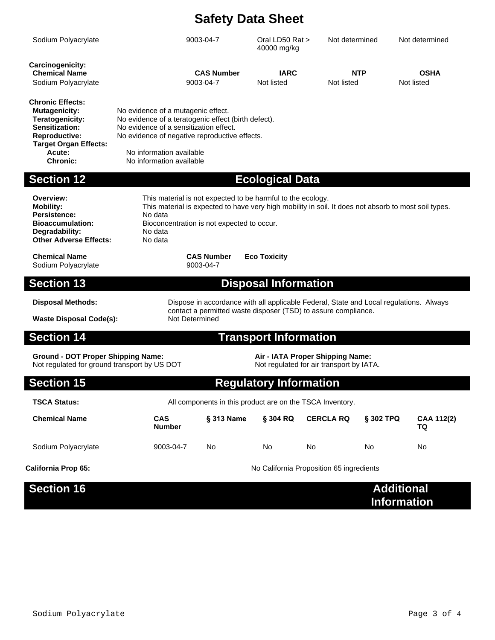| Sodium Polyacrylate                                                                                                                                                       |                                                                                                                                                                                                                                              | 9003-04-7                      | Oral LD50 Rat ><br>40000 mg/kg                                                                                                                                      | Not determined                                                               |            | Not determined                          |
|---------------------------------------------------------------------------------------------------------------------------------------------------------------------------|----------------------------------------------------------------------------------------------------------------------------------------------------------------------------------------------------------------------------------------------|--------------------------------|---------------------------------------------------------------------------------------------------------------------------------------------------------------------|------------------------------------------------------------------------------|------------|-----------------------------------------|
| Carcinogenicity:<br><b>Chemical Name</b><br>Sodium Polyacrylate                                                                                                           |                                                                                                                                                                                                                                              | <b>CAS Number</b><br>9003-04-7 | <b>IARC</b><br>Not listed                                                                                                                                           | Not listed                                                                   | <b>NTP</b> | <b>OSHA</b><br>Not listed               |
| <b>Chronic Effects:</b><br><b>Mutagenicity:</b><br><b>Teratogenicity:</b><br>Sensitization:<br>Reproductive:<br><b>Target Organ Effects:</b><br>Acute:<br><b>Chronic:</b> | No evidence of a mutagenic effect.<br>No evidence of a teratogenic effect (birth defect).<br>No evidence of a sensitization effect.<br>No evidence of negative reproductive effects.<br>No information available<br>No information available |                                |                                                                                                                                                                     |                                                                              |            |                                         |
| <b>Section 12</b>                                                                                                                                                         |                                                                                                                                                                                                                                              |                                | <b>Ecological Data</b>                                                                                                                                              |                                                                              |            |                                         |
| Overview:<br><b>Mobility:</b><br>Persistence:<br><b>Bioaccumulation:</b><br>Degradability:<br><b>Other Adverse Effects:</b>                                               | No data<br>Bioconcentration is not expected to occur.<br>No data<br>No data                                                                                                                                                                  |                                | This material is not expected to be harmful to the ecology.<br>This material is expected to have very high mobility in soil. It does not absorb to most soil types. |                                                                              |            |                                         |
| <b>Chemical Name</b><br>Sodium Polyacrylate                                                                                                                               |                                                                                                                                                                                                                                              | <b>CAS Number</b><br>9003-04-7 | <b>Eco Toxicity</b>                                                                                                                                                 |                                                                              |            |                                         |
| <b>Section 13</b>                                                                                                                                                         |                                                                                                                                                                                                                                              |                                | <b>Disposal Information</b>                                                                                                                                         |                                                                              |            |                                         |
| <b>Disposal Methods:</b><br><b>Waste Disposal Code(s):</b>                                                                                                                | Dispose in accordance with all applicable Federal, State and Local regulations. Always<br>contact a permitted waste disposer (TSD) to assure compliance.<br>Not Determined                                                                   |                                |                                                                                                                                                                     |                                                                              |            |                                         |
| <b>Section 14</b>                                                                                                                                                         |                                                                                                                                                                                                                                              |                                | <b>Transport Information</b>                                                                                                                                        |                                                                              |            |                                         |
| <b>Ground - DOT Proper Shipping Name:</b><br>Not regulated for ground transport by US DOT                                                                                 |                                                                                                                                                                                                                                              |                                |                                                                                                                                                                     | Air - IATA Proper Shipping Name:<br>Not regulated for air transport by IATA. |            |                                         |
| <b>Section 15</b>                                                                                                                                                         |                                                                                                                                                                                                                                              |                                | <b>Regulatory Information</b>                                                                                                                                       |                                                                              |            |                                         |
| <b>TSCA Status:</b>                                                                                                                                                       |                                                                                                                                                                                                                                              |                                | All components in this product are on the TSCA Inventory.                                                                                                           |                                                                              |            |                                         |
| <b>Chemical Name</b>                                                                                                                                                      | CAS<br><b>Number</b>                                                                                                                                                                                                                         | § 313 Name                     | § 304 RQ                                                                                                                                                            | <b>CERCLA RQ</b>                                                             | § 302 TPQ  | CAA 112(2)<br>TQ                        |
| Sodium Polyacrylate                                                                                                                                                       | 9003-04-7                                                                                                                                                                                                                                    | No                             | No                                                                                                                                                                  | No                                                                           | No         | No                                      |
| California Prop 65:                                                                                                                                                       |                                                                                                                                                                                                                                              |                                |                                                                                                                                                                     | No California Proposition 65 ingredients                                     |            |                                         |
| <b>Section 16</b>                                                                                                                                                         |                                                                                                                                                                                                                                              |                                |                                                                                                                                                                     |                                                                              |            | <b>Additional</b><br><b>Information</b> |